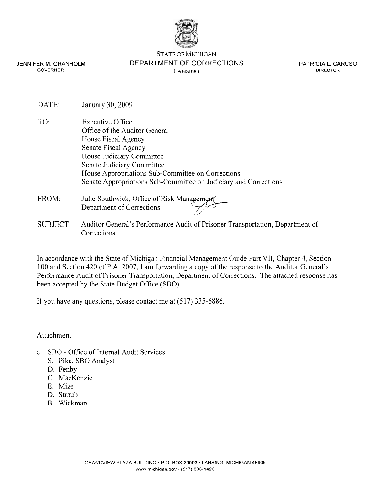

STATE OF MICHIGAN

JENNIFER M. GRANHOLM GOVERNOR

DEPARTMENT OF CORRECTIONS LANSING

PATRICIA L. CARUSO DIRECTOR

- DATE: January 30, 2009
- TO: Executive Office Office of the Auditor General House Fiscal Agency Senate Fiscal Agency House Judiciary Committee Senate Judiciary Committee House Appropriations Sub-committee on Corrections Senate Appropriations Sub-committee on Judiciary and Corrections Senate Judiciary Committee<br>
House Appropriations Sub-Committee on Corrections<br>
Senate Appropriations Sub-Committee on Judiciary and Correcti<br>
Julie Southwick, Office of Risk Management<br>
Department of Corrections<br>
Auditor G
- FROM: Julie Southwick, Office of Risk Management
- SUBJECT: Auditor General's Performance Audit of Prisoner Transportation, Department of Corrections

In accordance with the State of Michigan Financial Management Guide Part VII, Chapter 4, Section 100 and Section 420 of P.A. 2007, I am forwarding a copy of the response to the Auditor General's Performance Audit of Prisoner Transportation, Department of Corrections. The attached response has been accepted by the State Budget Office (SBO).

If you have any questions, please contact me at (5 17) 335-6886.

Attachment

- c: SBO Office of Internal Audit Services
	- S. Pike, SBO Analyst
	- D. Fenby
	- C. MacKenzie
	- E. Mize
	- D. Straub
	- B. Wickman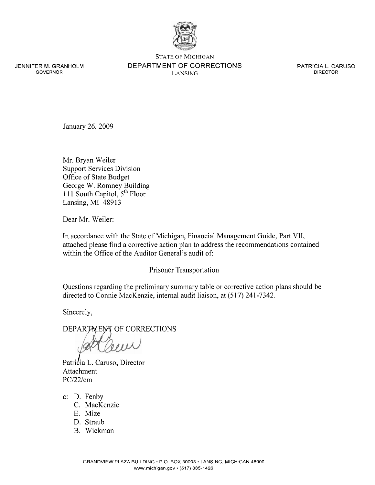

JENNIFER M. GRANHOLM GOVERNOR

STATE OF MICHIGAN DEPARTMENT OF CORRECTIONS LANSING

PATRICIA L. CARUSO DIRECTOR

January 26,2009

Mr. Bryan Weiler Support Services Division Office of State Budget George W. Romney Building 11 1 South Capitol, *5"'* Floor Lansing, MI 48913

Dear Mr. Weiler:

In accordance with the State of Michigan, Financial Management Guide, Part VII, attached please find a corrective action plan to address the recommendations contained within the Office of the Auditor General's audit of:

### Prisoner Transportation

Questions regarding the preliminary summary table or corrective action plans should be directed to Connie MacKenzie, internal audit liaison, at *(5* 17) 241 -7342.

Sincerely,

DEPARTMENT OF CORRECTIONS

Patricia L. Caruso, Director Attachment PC/22/cm

- c: D. Fenby
	- C. MacKenzie
	- E. Mize
	- D. Straub
	- B. Wickman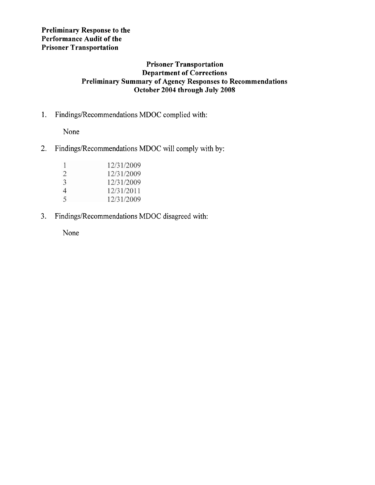## **Preliminary Response to the Performance Audit of the Prisoner Transportation**

## **Prisoner Transportation Department of Corrections Preliminary Summary of Agency Responses to Recommendations October 2004 through July 2008**

1. Findings/Recommendations MDOC complied with:

None

2. Findings/Recommendations MDOC will comply with by:

|                | 12/31/2009 |
|----------------|------------|
| 2              | 12/31/2009 |
| $\mathcal{E}$  | 12/31/2009 |
| $\overline{4}$ | 12/31/2011 |
| $\varsigma$    | 12/31/2009 |

3. **Findings/Recornrnendations** MDOC disagreed with:

None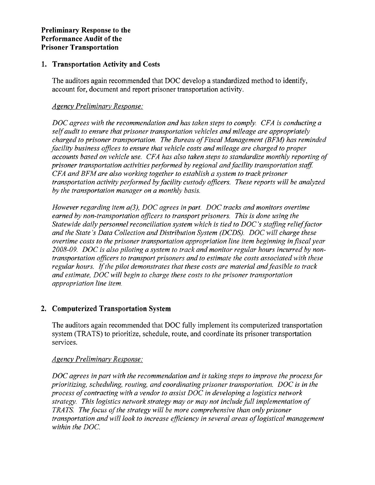## **1. Transportation Activity and Costs**

The auditors again recommended that DOC develop a standardized method to identify, account for, document and report prisoner transportation activity.

### *Agency Preliminary Response:*

*DOC agrees with the recommendation and has taken steps to comply. CFA is conducting a self audit to ensure that prisoner transportation vehicles and mileage are appropriately charged to prisoner transportation. The Bureau of Fiscal Management (BFM) has reminded facility business offices to ensure that vehicle costs and mileage are charged to proper accounts based on vehicle use. CFA has also taken steps to standardize monthly reporting of prisoner transportation activities performed by regional and facility transportation stafl CFA and BFM are also working together to establish a system to track prisoner transportation activity performed by facility custody officers. These reports will be analyzed by the transportation manager on a monthly basis.* 

*However regarding item a(3), DOC agrees in part. DOC tracks and monitors overtime earned by non-transportation officers to transport prisoners. This is done using the Statewide daily personnel reconciliation system which is tied to DOC's staffing relief factor and the State's Data Collection and Distribution System (DCDS). DOC will charge these overtime costs to the prisoner transportation appropriation line item beginning in fiscal year 2008-09. DOC is also piloting a system to track and monitor regular hours incurred by nontransportation officers to transport prisoners and to estimate the costs associated with these regular hours. If the pilot demonstrates that these costs are material and feasible to track and estimate, DOC will begin to charge these costs to the prisoner transportation appropriation line item.* 

# **2. Computerized Transportation System**

The auditors again recommended that DOC fully implement its computerized transportation system (TRATS) to prioritize, schedule, route, and coordinate its prisoner transportation services.

# *Agency Preliminary Response:*

*DOC agrees in part with the recommendation and is taking steps to improve the process for prioritizing, scheduling, routing, and coordinating prisoner transportation. DOC is in the process of contracting with a vendor to assist DOC in developing a logistics network strategy. This logistics network strategy may or may not include full implementation of TRATS. The focus of the strategy will be more comprehensive than only prisoner transportation and will look to increase efficiency in several areas of logistical management within the DOC.*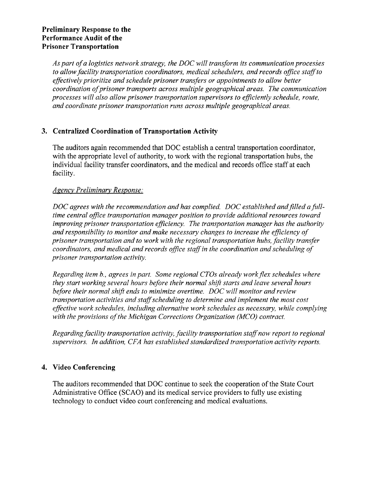*Aspart of a logistics network strategy, the DOC will transform its communication processes to allow facility transportation coordinators, medical schedulers, and records office stcgffto effectively prioritize and schedule prisoner transfers or appointments to allow better coordination of prisoner transports across multiple geographical areas. The communication processes will also allow prisoner transportation supervisors to efficiently schedule, route, and coordinate prisoner transportation runs across multiple geographical areas.* 

# **3. Centralized Coordination of Transportation Activity**

The auditors again recommended that DOC establish a central transportation coordinator, with the appropriate level of authority, to work with the regional transportation hubs, the individual facility transfer coordinators, and the medical and records office staff at each facility.

## *Agency Preliminary Response:*

*DOC agrees with the recommendation and has complied. DOC established and filled a fulltime central ofJice transportation manager position to provide additional resources toward improving prisoner transportation efficiency. The transportation manager has the authority and responsibility to monitor and make necessary changes to increase the efficiency of prisoner transportation and to work with the regional transportation hubs, facility transfer coordinators, and medical and records office staff in the coordination and scheduling of prisoner transportation activity.* 

*Regarding item b., agrees in part. Some regional CTOs already work flex schedules where they start working several hours before their normal shift starts and leave several hours before their normal shift ends to minimize overtime. DOC will monitor and review transportation activities and staffscheduling to determine and implement the most cost effective work schedules, including alternative work schedules as necessary, while complying with the provisions of the Michigan Corrections Organization (MCO) contract.* 

*Regarding facility transportation activify, facility transportation staff now report to regional szipervisors. In addition, CFA has established standardized transportation activity reports.* 

# **4. Video Conferencing**

The auditors recommended that DOC continue to seek the cooperation of the State Court Administrative Office (SCAO) and its medical service providers to fully use existing technology to conduct video court conferencing and medical evaluations.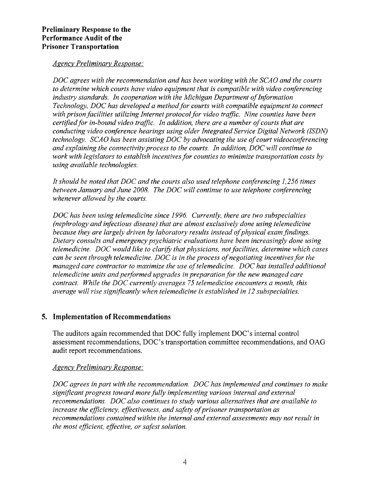### *Agency Preliminary Response:*

*DOC agrees with the recommendation and has been working with the SCAO and the courts to determine which courts have video equipment that is compatible with video conferencing industry standards. In cooperation with the Michigan Department of Information Technology, DOC has developed a method for courts with compatible equipment to connect*  with prison facilities utilizing Internet protocol for video traffic. Nine counties have been *certified for in-bound video traffic. In addition, there are a number of courts that are conducting video conference hearings using older Integrated Service Digital Network (ISDN) technology. SCAO has been assisting DOC by advocating the use of court videoconferencing and explaining the connectivity process to the courts. In addition, DOC will continue to work with legislators to establish incentives for counties to minimize transportation costs by using available technologies.* 

*It should be noted that DOC and the courts also used telephone conferencing 1,256 times between January and June 2008. The DOC will continue to use telephone conferencing whenever allowed by the courts.* 

*DOC has been using telemedicine since 1996. Currently, there are two subspecialties (nephrology and infectious disease) that are almost exclusively done using telemedicine because they are largely driven by laboratory results instead of physical exam findings. Dietary consults and emergency psychiatric evaluations have been increasingly done using telemedicine. DOC would like to clarify that physicians, not facilities, determine which cases can be seen through telemedicine. DOC is in the process of negotiating incentives for the managed care contractor to maximize the use of telemedicine. DOC has installed additional telemedicine units and performed upgrades in preparation for the new managed care contract. While the DOC currently averages 75 telemedicine encounters a month, this average will rise significantly when telemedicine is established in 12 subspecialties.* 

### **5. Implementation of Recommendations**

The auditors again recommended that DOC fully implement DOC's internal control assessment recommendations, DOC's transportation committee recommendations, and OAG audit report recommendations.

### *Agencv Preliminary Response:*

*DOC agrees in part with the recommendation. DOC has implemented and continues to make significant progress toward more fully implementing various internal and external* recommendations. DOC also continues to study various alternatives that are available to *increase the eflciency, effectiveness, and safety of prisoner transportation as recommendations contained within the internal and external assessments may not result in the most eflcient, effective, or safest solution.*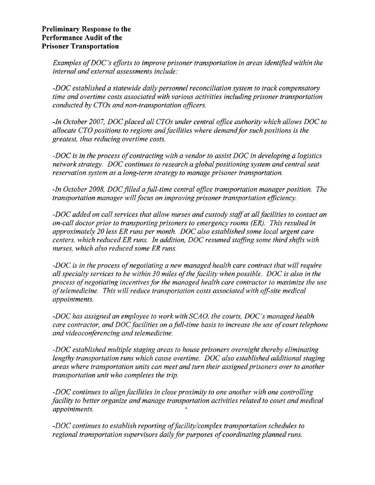### **Preliminary Response to the Performance Audit of the Prisoner Transportation**

*Examples of DOC's efforts to improve prisoner transportation in areas identified within the internal and external assessments include:* 

*-DOC established a statewide daily personnel reconciliation system to track compensatory time and overtime costs associated with various activities including prisoner transportation conducted by CTOs and non-transportation officers.* 

*-In October 2007, DOC placed all CTOs under central office authority which allows DOC to allocate CTO positions to regions and facilities where demand for such positions is the greatest, thus reducing overtime costs.* 

*-DOC is in the process of contracting with a vendor to assist DOC in developing a logistics network strategy. DOC continues to research a global positioning system and central seat reservation system as a long-term strategy to manage prisoner transportation.* 

*-In October 2008, DOC filled a full-time central office transportation manager position. The transportation manager will focus on improving prisoner transportation eflciency.* 

*-DOC added on call services that allow nurses and custody staff at all facilities to contact an on-call doctor prior to transporting prisoners to emergency rooms (ER). This resulted in approximately 20 less ER runs per month. DOC also established some local urgent care centers, which reduced ER runs. In addition, DOC resumed stafing some third shifrs with nurses, which also reduced some ER runs.* 

*-DOC is in the process of negotiating a new managed health care contract that will require all specialty services to be within 30 miles of the facility when possible. DOC is also in the process of negotiating incentives for the managed health care contractor to maximize the use of telemedicine. This will reduce transportation costs associated with off-site medical appointments.* 

*-DOC has assigned an employee to work with SCAO, the courts, DOC's managed health care contractor, and DOC facilities on a full-time basis to increase the use of court telephone and videoconferencing and telemedicine.* 

*-DOC established multiple staging areas to house prisoners overnight thereby eliminating lengthy transportation runs which cause overtime. DOC also established additional staging areas where transportation units can meet and turn their assigned prisoners over to another transportation unit who completes the trip.* 

*-DOC continues to align facilities in close proximity to one another with one controlling facility to better organize and manage transportation activities related to court and medical appointments.* 

*-DOC continues to establish reporting of facility/complex transportation schedules to regional transportation supervisors daily for purposes of coordinating planned runs.*